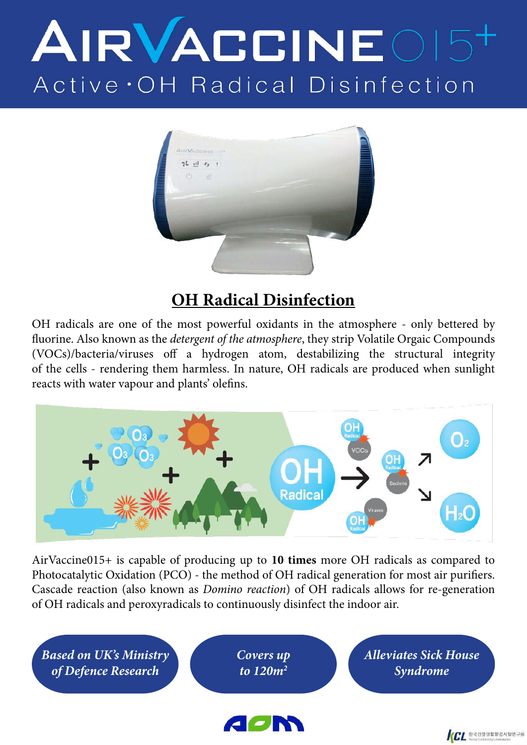# AIRVACCINE015+ Active OH Radical Disinfection



### **OH Radical Disinfection**

OH radicals are one of the most powerful oxidants in the atmosphere - only bettered by fluorine. Also known as the *detergent of the atmosphere*, they strip Volatile Orgaic Compounds (VOCs)/bacteria/viruses off a hydrogen atom, destabilizing the structural integrity of the cells - rendering them harmless. In nature, OH radicals are produced when sunlight reacts with water vapour and plants' olefins.



AirVaccine015+ is capable of producing up to **10 times** more OH radicals as compared to Photocatalytic Oxidation (PCO) - the method of OH radical generation for most air purifiers. Cascade reaction (also known as *Domino reaction*) of OH radicals allows for re-generation of OH radicals and peroxyradicals to continuously disinfect the indoor air.